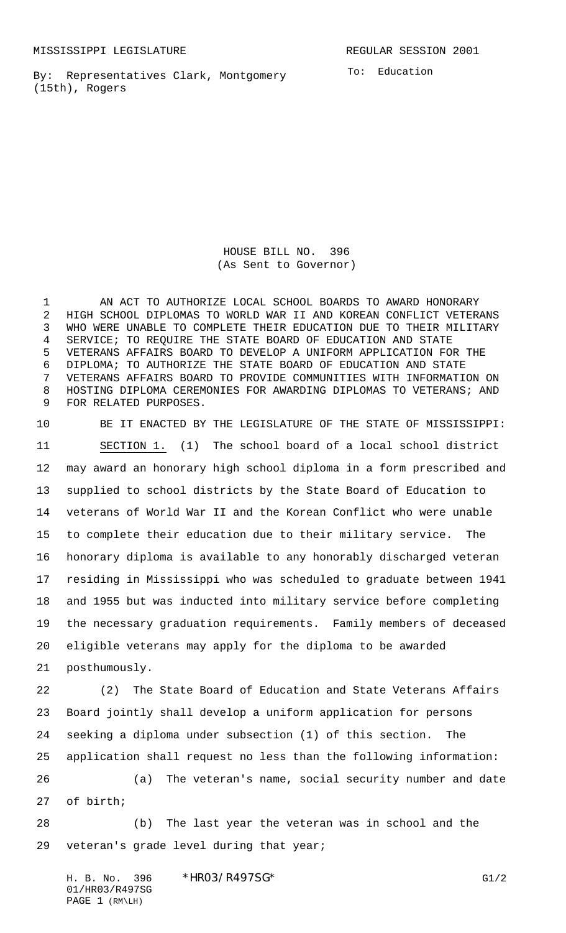By: Representatives Clark, Montgomery (15th), Rogers

HOUSE BILL NO. 396 (As Sent to Governor)

 AN ACT TO AUTHORIZE LOCAL SCHOOL BOARDS TO AWARD HONORARY HIGH SCHOOL DIPLOMAS TO WORLD WAR II AND KOREAN CONFLICT VETERANS WHO WERE UNABLE TO COMPLETE THEIR EDUCATION DUE TO THEIR MILITARY SERVICE; TO REQUIRE THE STATE BOARD OF EDUCATION AND STATE VETERANS AFFAIRS BOARD TO DEVELOP A UNIFORM APPLICATION FOR THE DIPLOMA; TO AUTHORIZE THE STATE BOARD OF EDUCATION AND STATE VETERANS AFFAIRS BOARD TO PROVIDE COMMUNITIES WITH INFORMATION ON HOSTING DIPLOMA CEREMONIES FOR AWARDING DIPLOMAS TO VETERANS; AND FOR RELATED PURPOSES.

 BE IT ENACTED BY THE LEGISLATURE OF THE STATE OF MISSISSIPPI: SECTION 1. (1) The school board of a local school district may award an honorary high school diploma in a form prescribed and supplied to school districts by the State Board of Education to veterans of World War II and the Korean Conflict who were unable to complete their education due to their military service. The honorary diploma is available to any honorably discharged veteran residing in Mississippi who was scheduled to graduate between 1941 and 1955 but was inducted into military service before completing the necessary graduation requirements. Family members of deceased eligible veterans may apply for the diploma to be awarded posthumously.

 (2) The State Board of Education and State Veterans Affairs Board jointly shall develop a uniform application for persons seeking a diploma under subsection (1) of this section. The application shall request no less than the following information: (a) The veteran's name, social security number and date of birth;

 (b) The last year the veteran was in school and the veteran's grade level during that year;

H. B. No. 396 \* HRO3/R497SG\* G1/2 01/HR03/R497SG PAGE 1 (RM\LH)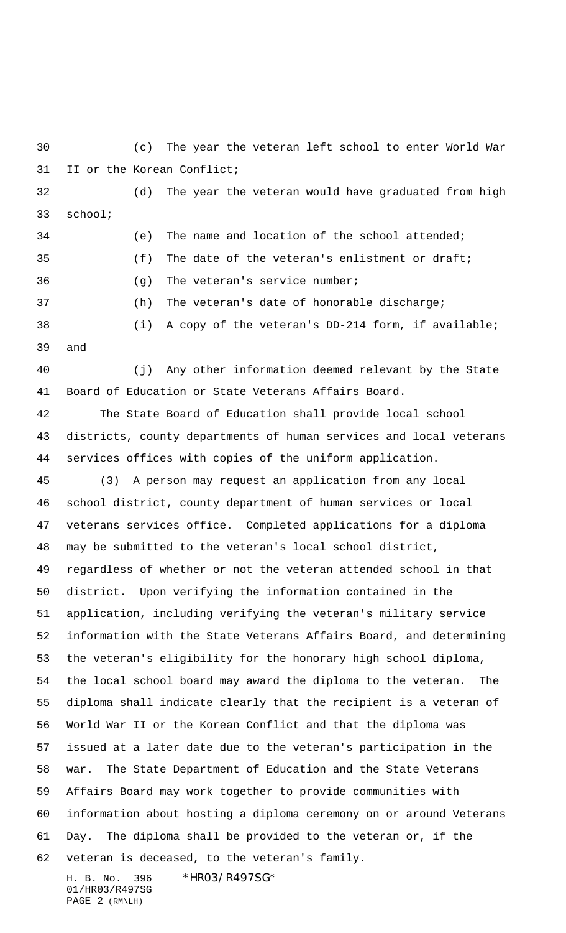(c) The year the veteran left school to enter World War II or the Korean Conflict;

 (d) The year the veteran would have graduated from high school;

 (e) The name and location of the school attended; (f) The date of the veteran's enlistment or draft; (g) The veteran's service number; (h) The veteran's date of honorable discharge; (i) A copy of the veteran's DD-214 form, if available;

and

 (j) Any other information deemed relevant by the State Board of Education or State Veterans Affairs Board.

 The State Board of Education shall provide local school districts, county departments of human services and local veterans services offices with copies of the uniform application.

 (3) A person may request an application from any local school district, county department of human services or local veterans services office. Completed applications for a diploma may be submitted to the veteran's local school district, regardless of whether or not the veteran attended school in that district. Upon verifying the information contained in the application, including verifying the veteran's military service information with the State Veterans Affairs Board, and determining the veteran's eligibility for the honorary high school diploma, the local school board may award the diploma to the veteran. The diploma shall indicate clearly that the recipient is a veteran of World War II or the Korean Conflict and that the diploma was issued at a later date due to the veteran's participation in the war. The State Department of Education and the State Veterans Affairs Board may work together to provide communities with information about hosting a diploma ceremony on or around Veterans Day. The diploma shall be provided to the veteran or, if the veteran is deceased, to the veteran's family.

H. B. No. 396 \*HR03/R497SG\* 01/HR03/R497SG PAGE 2 (RM\LH)